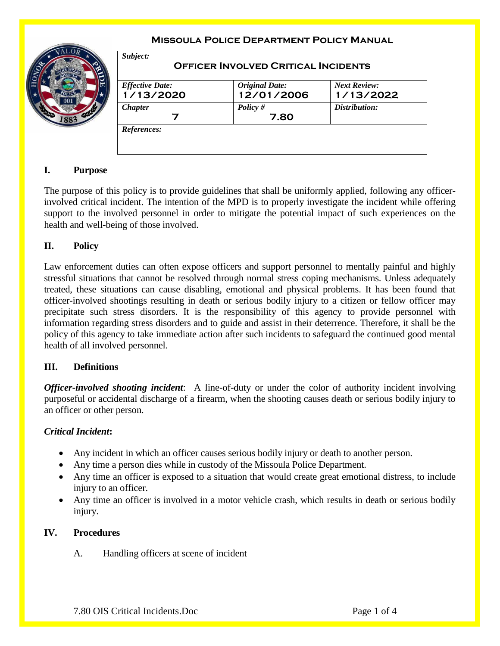#### **Missoula Police Department Policy Manual** *Subject:* **Officer Involved Critical Incidents** *Effective Date:* **1/13/2020** *Original Date:* **12/01/2006** *Next Review:* **1/13/2022** *Chapter* **7** *Policy #* **7.80** *Distribution: References:*

# **I. Purpose**

The purpose of this policy is to provide guidelines that shall be uniformly applied, following any officerinvolved critical incident. The intention of the MPD is to properly investigate the incident while offering support to the involved personnel in order to mitigate the potential impact of such experiences on the health and well-being of those involved.

#### **II. Policy**

Law enforcement duties can often expose officers and support personnel to mentally painful and highly stressful situations that cannot be resolved through normal stress coping mechanisms. Unless adequately treated, these situations can cause disabling, emotional and physical problems. It has been found that officer-involved shootings resulting in death or serious bodily injury to a citizen or fellow officer may precipitate such stress disorders. It is the responsibility of this agency to provide personnel with information regarding stress disorders and to guide and assist in their deterrence. Therefore, it shall be the policy of this agency to take immediate action after such incidents to safeguard the continued good mental health of all involved personnel.

## **III. Definitions**

*Officer-involved shooting incident*: A line-of-duty or under the color of authority incident involving purposeful or accidental discharge of a firearm, when the shooting causes death or serious bodily injury to an officer or other person.

## *Critical Incident***:**

- Any incident in which an officer causes serious bodily injury or death to another person.
- Any time a person dies while in custody of the Missoula Police Department.
- Any time an officer is exposed to a situation that would create great emotional distress, to include injury to an officer.
- Any time an officer is involved in a motor vehicle crash, which results in death or serious bodily injury.

## **IV. Procedures**

A. Handling officers at scene of incident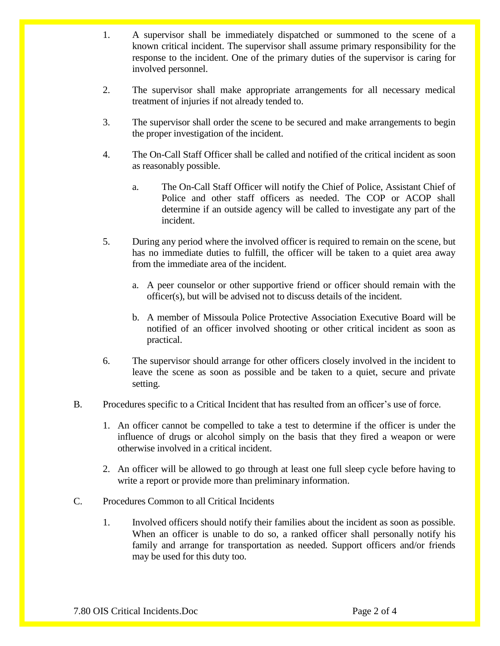- 1. A supervisor shall be immediately dispatched or summoned to the scene of a known critical incident. The supervisor shall assume primary responsibility for the response to the incident. One of the primary duties of the supervisor is caring for involved personnel.
- 2. The supervisor shall make appropriate arrangements for all necessary medical treatment of injuries if not already tended to.
- 3. The supervisor shall order the scene to be secured and make arrangements to begin the proper investigation of the incident.
- 4. The On-Call Staff Officer shall be called and notified of the critical incident as soon as reasonably possible.
	- a. The On-Call Staff Officer will notify the Chief of Police, Assistant Chief of Police and other staff officers as needed. The COP or ACOP shall determine if an outside agency will be called to investigate any part of the incident.
- 5. During any period where the involved officer is required to remain on the scene, but has no immediate duties to fulfill, the officer will be taken to a quiet area away from the immediate area of the incident.
	- a. A peer counselor or other supportive friend or officer should remain with the officer(s), but will be advised not to discuss details of the incident.
	- b. A member of Missoula Police Protective Association Executive Board will be notified of an officer involved shooting or other critical incident as soon as practical.
- 6. The supervisor should arrange for other officers closely involved in the incident to leave the scene as soon as possible and be taken to a quiet, secure and private setting.
- B. Procedures specific to a Critical Incident that has resulted from an officer's use of force.
	- 1. An officer cannot be compelled to take a test to determine if the officer is under the influence of drugs or alcohol simply on the basis that they fired a weapon or were otherwise involved in a critical incident.
	- 2. An officer will be allowed to go through at least one full sleep cycle before having to write a report or provide more than preliminary information.
- C. Procedures Common to all Critical Incidents
	- 1. Involved officers should notify their families about the incident as soon as possible. When an officer is unable to do so, a ranked officer shall personally notify his family and arrange for transportation as needed. Support officers and/or friends may be used for this duty too.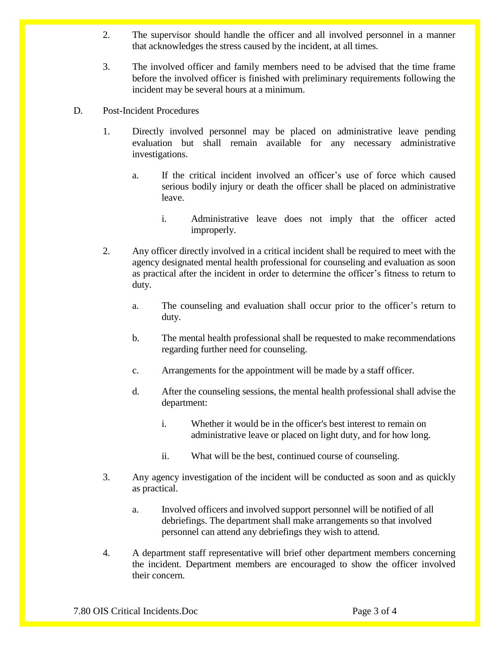- 2. The supervisor should handle the officer and all involved personnel in a manner that acknowledges the stress caused by the incident, at all times.
- 3. The involved officer and family members need to be advised that the time frame before the involved officer is finished with preliminary requirements following the incident may be several hours at a minimum.
- D. Post-Incident Procedures
	- 1. Directly involved personnel may be placed on administrative leave pending evaluation but shall remain available for any necessary administrative investigations.
		- a. If the critical incident involved an officer's use of force which caused serious bodily injury or death the officer shall be placed on administrative leave.
			- i. Administrative leave does not imply that the officer acted improperly.
	- 2. Any officer directly involved in a critical incident shall be required to meet with the agency designated mental health professional for counseling and evaluation as soon as practical after the incident in order to determine the officer's fitness to return to duty.
		- a. The counseling and evaluation shall occur prior to the officer's return to duty.
		- b. The mental health professional shall be requested to make recommendations regarding further need for counseling.
		- c. Arrangements for the appointment will be made by a staff officer.
		- d. After the counseling sessions, the mental health professional shall advise the department:
			- i. Whether it would be in the officer's best interest to remain on administrative leave or placed on light duty, and for how long.
			- ii. What will be the best, continued course of counseling.
	- 3. Any agency investigation of the incident will be conducted as soon and as quickly as practical.
		- a. Involved officers and involved support personnel will be notified of all debriefings. The department shall make arrangements so that involved personnel can attend any debriefings they wish to attend.
	- 4. A department staff representative will brief other department members concerning the incident. Department members are encouraged to show the officer involved their concern.